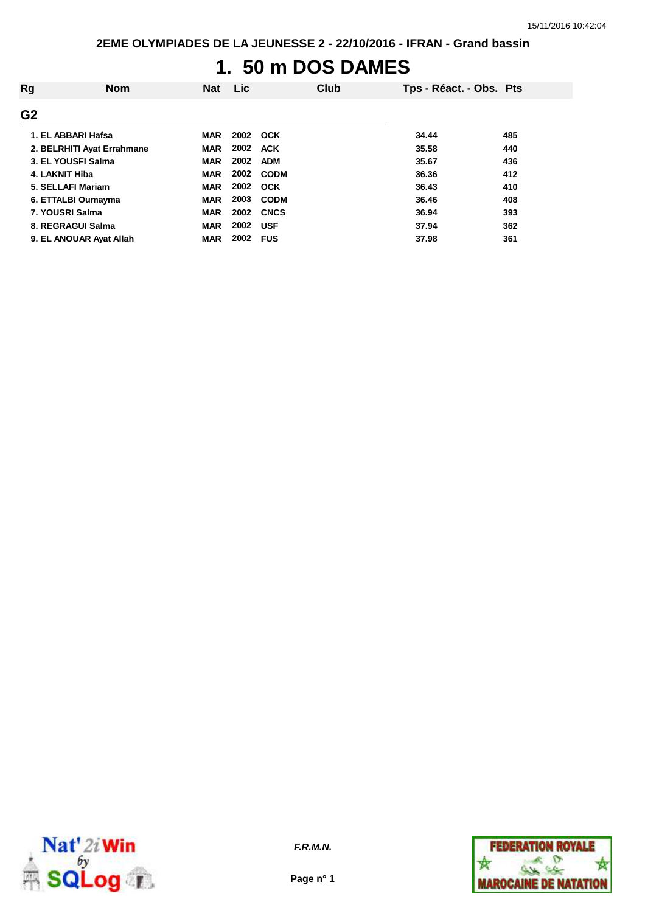# **1. 50 m DOS DAMES**

| Rg             | <b>Nom</b>                 | <b>Nat</b> | Lic  |             | Club | Tps - Réact. - Obs. Pts |     |
|----------------|----------------------------|------------|------|-------------|------|-------------------------|-----|
| G <sub>2</sub> |                            |            |      |             |      |                         |     |
|                | 1. EL ABBARI Hafsa         | <b>MAR</b> |      | 2002 OCK    |      | 34.44                   | 485 |
|                | 2. BELRHITI Ayat Errahmane | <b>MAR</b> | 2002 | ACK         |      | 35.58                   | 440 |
|                | 3. EL YOUSFI Salma         | <b>MAR</b> | 2002 | <b>ADM</b>  |      | 35.67                   | 436 |
|                | 4. LAKNIT Hiba             | <b>MAR</b> | 2002 | <b>CODM</b> |      | 36.36                   | 412 |
|                | 5. SELLAFI Mariam          | <b>MAR</b> | 2002 | <b>OCK</b>  |      | 36.43                   | 410 |
|                | 6. ETTALBI Oumayma         | <b>MAR</b> | 2003 | <b>CODM</b> |      | 36.46                   | 408 |
|                | 7. YOUSRI Salma            | <b>MAR</b> | 2002 | <b>CNCS</b> |      | 36.94                   | 393 |
|                | 8. REGRAGUI Salma          | <b>MAR</b> | 2002 | <b>USF</b>  |      | 37.94                   | 362 |
|                | 9. EL ANOUAR Ayat Allah    | <b>MAR</b> | 2002 | <b>FUS</b>  |      | 37.98                   | 361 |



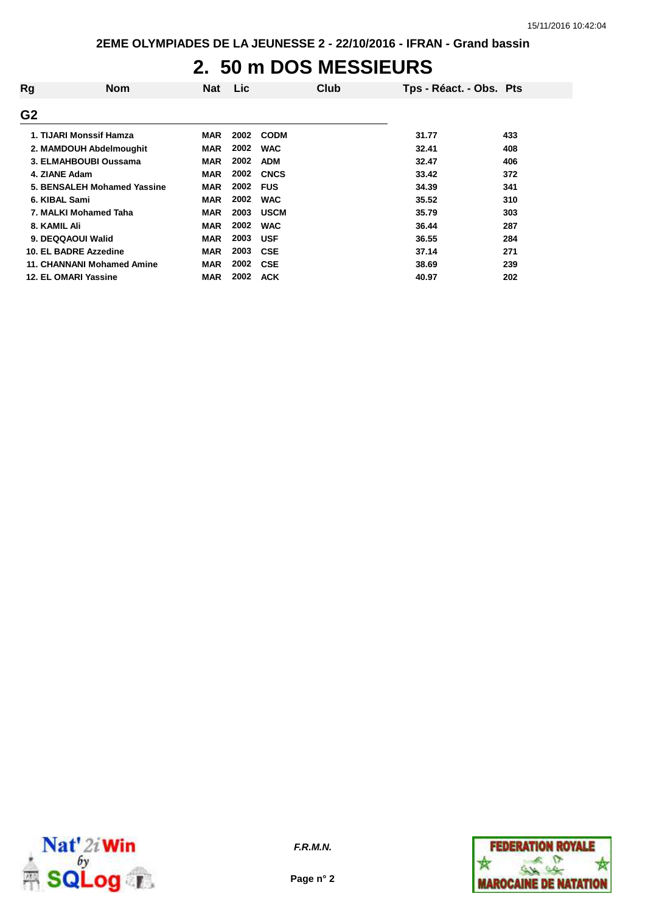### **2. 50 m DOS MESSIEURS**

| Rg             | <b>Nom</b>                  | <b>Nat</b> | <b>Lic</b> | Club        | Tps - Réact. - Obs. Pts |     |
|----------------|-----------------------------|------------|------------|-------------|-------------------------|-----|
| G <sub>2</sub> |                             |            |            |             |                         |     |
|                | 1. TIJARI Monssif Hamza     | <b>MAR</b> | 2002       | <b>CODM</b> | 31.77                   | 433 |
|                | 2. MAMDOUH Abdelmoughit     | <b>MAR</b> | 2002       | <b>WAC</b>  | 32.41                   | 408 |
|                | 3. ELMAHBOUBI Oussama       | <b>MAR</b> | 2002       | <b>ADM</b>  | 32.47                   | 406 |
|                | 4. ZIANE Adam               | <b>MAR</b> | 2002       | <b>CNCS</b> | 33.42                   | 372 |
|                | 5. BENSALEH Mohamed Yassine | <b>MAR</b> | 2002       | <b>FUS</b>  | 34.39                   | 341 |
|                | 6. KIBAL Sami               | <b>MAR</b> | 2002       | <b>WAC</b>  | 35.52                   | 310 |
|                | 7. MALKI Mohamed Taha       | <b>MAR</b> | 2003       | <b>USCM</b> | 35.79                   | 303 |
| 8. KAMIL Ali   |                             | <b>MAR</b> | 2002       | <b>WAC</b>  | 36.44                   | 287 |
|                | 9. DEQQAOUI Walid           | <b>MAR</b> | 2003       | <b>USF</b>  | 36.55                   | 284 |
|                | 10. EL BADRE Azzedine       | <b>MAR</b> | 2003       | <b>CSE</b>  | 37.14                   | 271 |
|                | 11. CHANNANI Mohamed Amine  | <b>MAR</b> | 2002       | <b>CSE</b>  | 38.69                   | 239 |
|                | 12. EL OMARI Yassine        | <b>MAR</b> | 2002       | <b>ACK</b>  | 40.97                   | 202 |



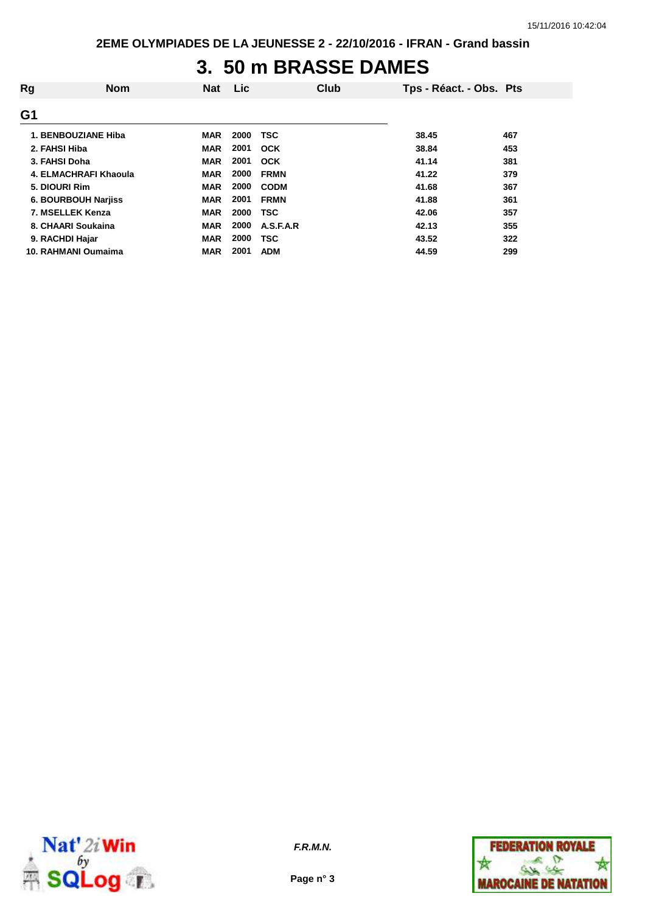#### **3. 50 m BRASSE DAMES**

| Rg            | <b>Nom</b>                 | <b>Nat</b> | Lic  | Club        | Tps - Réact. - Obs. Pts |     |
|---------------|----------------------------|------------|------|-------------|-------------------------|-----|
| G1            |                            |            |      |             |                         |     |
|               | 1. BENBOUZIANE Hiba        | <b>MAR</b> | 2000 | <b>TSC</b>  | 38.45                   | 467 |
| 2. FAHSI Hiba |                            | <b>MAR</b> | 2001 | <b>OCK</b>  | 38.84                   | 453 |
| 3. FAHSI Doha |                            | <b>MAR</b> | 2001 | OCK         | 41.14                   | 381 |
|               | 4. ELMACHRAFI Khaoula      | <b>MAR</b> | 2000 | <b>FRMN</b> | 41.22                   | 379 |
| 5. DIOURI Rim |                            | <b>MAR</b> | 2000 | <b>CODM</b> | 41.68                   | 367 |
|               | <b>6. BOURBOUH Narjiss</b> | <b>MAR</b> | 2001 | <b>FRMN</b> | 41.88                   | 361 |
|               | 7. MSELLEK Kenza           | <b>MAR</b> | 2000 | <b>TSC</b>  | 42.06                   | 357 |
|               | 8. CHAARI Soukaina         | <b>MAR</b> | 2000 | A.S.F.A.R   | 42.13                   | 355 |
|               | 9. RACHDI Hajar            | <b>MAR</b> | 2000 | <b>TSC</b>  | 43.52                   | 322 |
|               | 10. RAHMANI Oumaima        | <b>MAR</b> | 2001 | <b>ADM</b>  | 44.59                   | 299 |



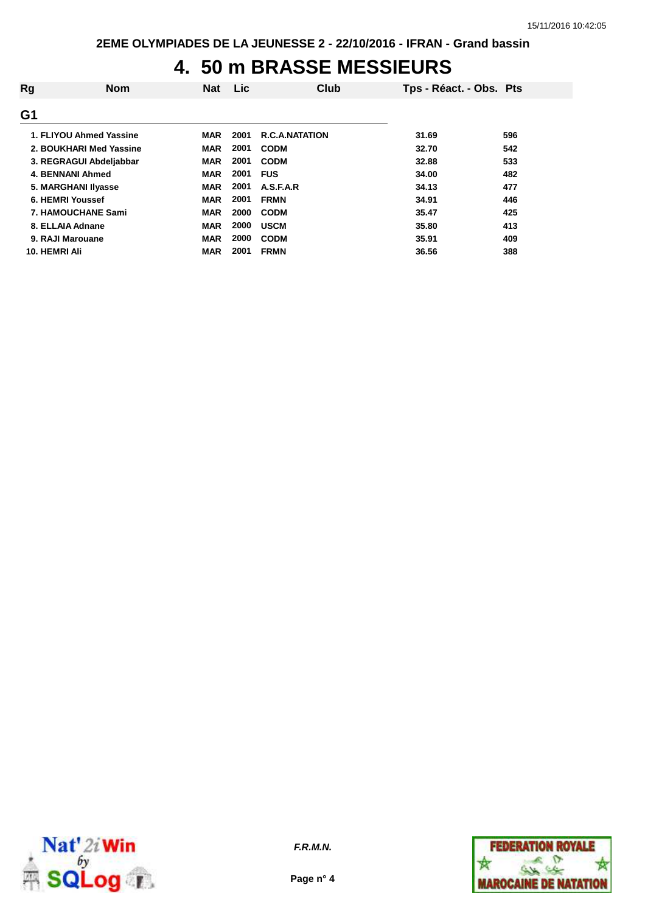# **4. 50 m BRASSE MESSIEURS**

| Rg               | <b>Nom</b>                | <b>Nat</b> | Lic. | Club                  | Tps - Réact. - Obs. Pts |     |
|------------------|---------------------------|------------|------|-----------------------|-------------------------|-----|
| G1               |                           |            |      |                       |                         |     |
|                  | 1. FLIYOU Ahmed Yassine   | <b>MAR</b> | 2001 | <b>R.C.A.NATATION</b> | 31.69                   | 596 |
|                  | 2. BOUKHARI Med Yassine   | <b>MAR</b> | 2001 | <b>CODM</b>           | 32.70                   | 542 |
|                  | 3. REGRAGUI Abdeljabbar   | <b>MAR</b> | 2001 | <b>CODM</b>           | 32.88                   | 533 |
|                  | <b>4. BENNANI Ahmed</b>   | <b>MAR</b> | 2001 | <b>FUS</b>            | 34.00                   | 482 |
|                  | 5. MARGHANI IIyasse       | <b>MAR</b> | 2001 | A.S.F.A.R             | 34.13                   | 477 |
|                  | 6. HEMRI Youssef          | <b>MAR</b> | 2001 | <b>FRMN</b>           | 34.91                   | 446 |
|                  | <b>7. HAMOUCHANE Sami</b> | <b>MAR</b> | 2000 | <b>CODM</b>           | 35.47                   | 425 |
|                  | 8. ELLAIA Adnane          | <b>MAR</b> | 2000 | <b>USCM</b>           | 35.80                   | 413 |
| 9. RAJI Marouane |                           | <b>MAR</b> | 2000 | <b>CODM</b>           | 35.91                   | 409 |
| 10. HEMRI Ali    |                           | <b>MAR</b> | 2001 | <b>FRMN</b>           | 36.56                   | 388 |



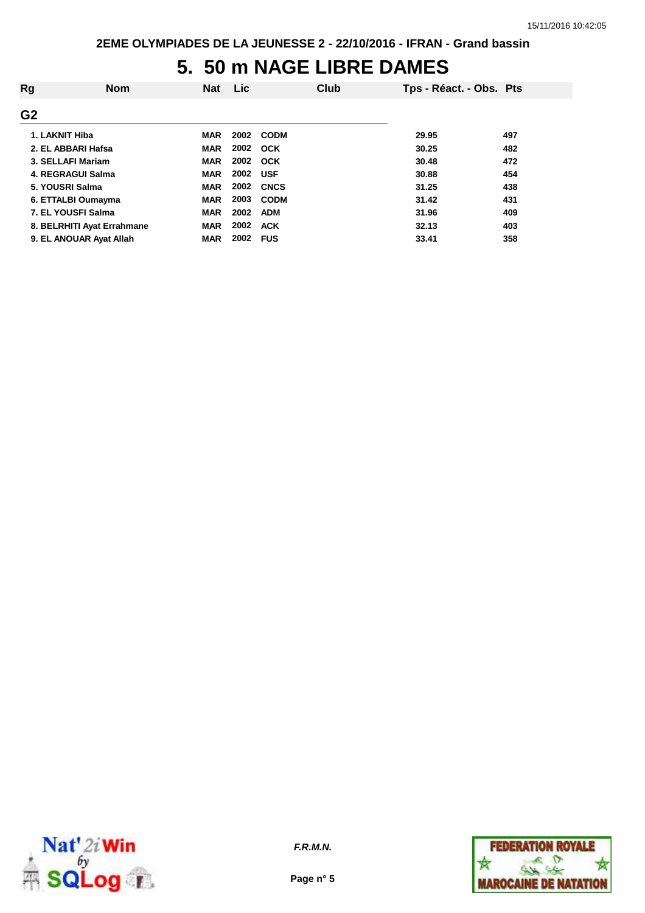### **5. 50 m NAGE LIBRE DAMES**

| Rg             | <b>Nom</b>                 | <b>Nat</b> | Lic      |                  | Club | Tps - Réact. - Obs. Pts |     |
|----------------|----------------------------|------------|----------|------------------|------|-------------------------|-----|
| G <sub>2</sub> |                            |            |          |                  |      |                         |     |
| 1. LAKNIT Hiba |                            | <b>MAR</b> |          | 2002 CODM        |      | 29.95                   | 497 |
|                | 2. EL ABBARI Hafsa         | <b>MAR</b> |          | 2002 OCK         |      | 30.25                   | 482 |
|                | 3. SELLAFI Mariam          | <b>MAR</b> |          | 2002 OCK         |      | 30.48                   | 472 |
|                | 4. REGRAGUI Salma          | <b>MAR</b> | 2002 USF |                  |      | 30.88                   | 454 |
|                | 5. YOUSRI Salma            | <b>MAR</b> |          | <b>2002 CNCS</b> |      | 31.25                   | 438 |
|                | 6. ETTALBI Oumayma         | <b>MAR</b> | 2003     | <b>CODM</b>      |      | 31.42                   | 431 |
|                | 7. EL YOUSFI Salma         | <b>MAR</b> | 2002     | <b>ADM</b>       |      | 31.96                   | 409 |
|                | 8. BELRHITI Ayat Errahmane | <b>MAR</b> | 2002     | <b>ACK</b>       |      | 32.13                   | 403 |
|                | 9. EL ANOUAR Ayat Allah    | <b>MAR</b> | 2002     | <b>FUS</b>       |      | 33.41                   | 358 |



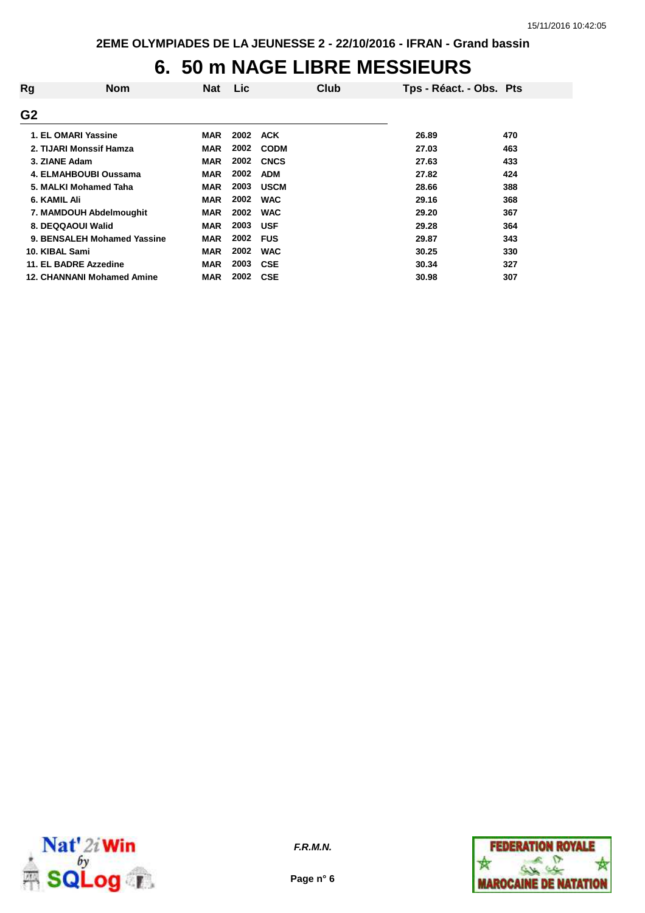## **6. 50 m NAGE LIBRE MESSIEURS**

| Rg             | <b>Nom</b>                        | <b>Nat</b> | <b>Lic</b> | Club        | Tps - Réact. - Obs. Pts |     |
|----------------|-----------------------------------|------------|------------|-------------|-------------------------|-----|
| G <sub>2</sub> |                                   |            |            |             |                         |     |
|                | 1. EL OMARI Yassine               | <b>MAR</b> | 2002       | <b>ACK</b>  | 26.89                   | 470 |
|                | 2. TIJARI Monssif Hamza           | <b>MAR</b> | 2002       | <b>CODM</b> | 27.03                   | 463 |
| 3. ZIANE Adam  |                                   | <b>MAR</b> | 2002       | <b>CNCS</b> | 27.63                   | 433 |
|                | 4. ELMAHBOUBI Oussama             | <b>MAR</b> | 2002       | <b>ADM</b>  | 27.82                   | 424 |
|                | 5. MALKI Mohamed Taha             | <b>MAR</b> | 2003       | <b>USCM</b> | 28.66                   | 388 |
| 6. KAMIL Ali   |                                   | <b>MAR</b> | 2002       | <b>WAC</b>  | 29.16                   | 368 |
|                | 7. MAMDOUH Abdelmoughit           | <b>MAR</b> | 2002       | <b>WAC</b>  | 29.20                   | 367 |
|                | 8. DEQQAOUI Walid                 | <b>MAR</b> | 2003       | <b>USF</b>  | 29.28                   | 364 |
|                | 9. BENSALEH Mohamed Yassine       | <b>MAR</b> | 2002       | <b>FUS</b>  | 29.87                   | 343 |
| 10. KIBAL Sami |                                   | <b>MAR</b> | 2002       | <b>WAC</b>  | 30.25                   | 330 |
|                | 11. EL BADRE Azzedine             | <b>MAR</b> | 2003       | <b>CSE</b>  | 30.34                   | 327 |
|                | <b>12. CHANNANI Mohamed Amine</b> | <b>MAR</b> | 2002       | <b>CSE</b>  | 30.98                   | 307 |



**Page n° 6**

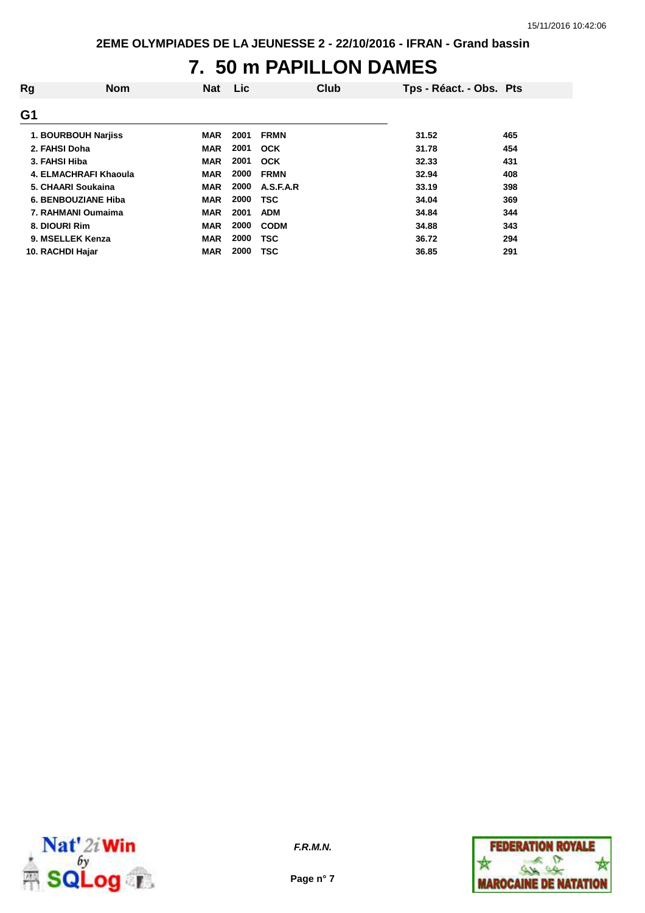# **7. 50 m PAPILLON DAMES**

| Rg               | <b>Nom</b>            | <b>Nat</b> | Lic  | Club        | Tps - Réact. - Obs. Pts |     |
|------------------|-----------------------|------------|------|-------------|-------------------------|-----|
| G <sub>1</sub>   |                       |            |      |             |                         |     |
|                  | 1. BOURBOUH Narjiss   | <b>MAR</b> | 2001 | <b>FRMN</b> | 31.52                   | 465 |
| 2. FAHSI Doha    |                       | <b>MAR</b> | 2001 | <b>OCK</b>  | 31.78                   | 454 |
| 3. FAHSI Hiba    |                       | <b>MAR</b> | 2001 | <b>OCK</b>  | 32.33                   | 431 |
|                  | 4. ELMACHRAFI Khaoula | <b>MAR</b> | 2000 | <b>FRMN</b> | 32.94                   | 408 |
|                  | 5. CHAARI Soukaina    | <b>MAR</b> | 2000 | A.S.F.A.R   | 33.19                   | 398 |
|                  | 6. BENBOUZIANE Hiba   | <b>MAR</b> | 2000 | <b>TSC</b>  | 34.04                   | 369 |
|                  | 7. RAHMANI Oumaima    | <b>MAR</b> | 2001 | <b>ADM</b>  | 34.84                   | 344 |
| 8. DIOURI Rim    |                       | <b>MAR</b> | 2000 | <b>CODM</b> | 34.88                   | 343 |
|                  | 9. MSELLEK Kenza      | <b>MAR</b> | 2000 | <b>TSC</b>  | 36.72                   | 294 |
| 10. RACHDI Hajar |                       | <b>MAR</b> | 2000 | TSC         | 36.85                   | 291 |